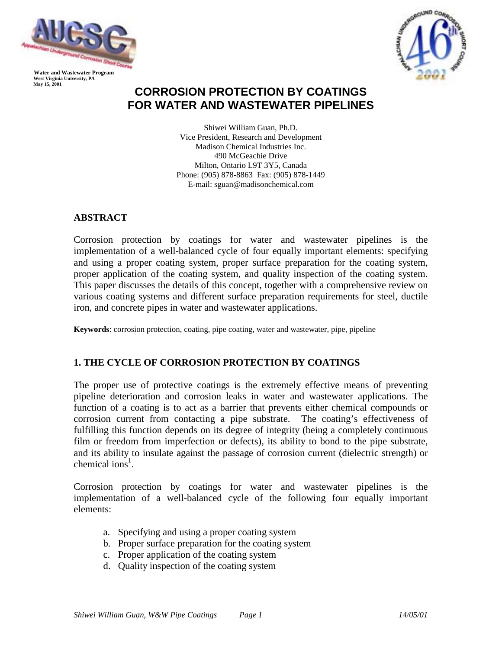

 **West Virginia University, PA May 15, 2001** 



# **CORROSION PROTECTION BY COATINGS FOR WATER AND WASTEWATER PIPELINES**

Shiwei William Guan, Ph.D. Vice President, Research and Development Madison Chemical Industries Inc. 490 McGeachie Drive Milton, Ontario L9T 3Y5, Canada Phone: (905) 878-8863 Fax: (905) 878-1449 E-mail: sguan@madisonchemical.com

# **ABSTRACT**

Corrosion protection by coatings for water and wastewater pipelines is the implementation of a well-balanced cycle of four equally important elements: specifying and using a proper coating system, proper surface preparation for the coating system, proper application of the coating system, and quality inspection of the coating system. This paper discusses the details of this concept, together with a comprehensive review on various coating systems and different surface preparation requirements for steel, ductile iron, and concrete pipes in water and wastewater applications.

**Keywords**: corrosion protection, coating, pipe coating, water and wastewater, pipe, pipeline

# **1. THE CYCLE OF CORROSION PROTECTION BY COATINGS**

The proper use of protective coatings is the extremely effective means of preventing pipeline deterioration and corrosion leaks in water and wastewater applications. The function of a coating is to act as a barrier that prevents either chemical compounds or corrosion current from contacting a pipe substrate. The coating's effectiveness of fulfilling this function depends on its degree of integrity (being a completely continuous film or freedom from imperfection or defects), its ability to bond to the pipe substrate, and its ability to insulate against the passage of corrosion current (dielectric strength) or chemical ions<sup>1</sup>.

Corrosion protection by coatings for water and wastewater pipelines is the implementation of a well-balanced cycle of the following four equally important elements:

- a. Specifying and using a proper coating system
- b. Proper surface preparation for the coating system
- c. Proper application of the coating system
- d. Quality inspection of the coating system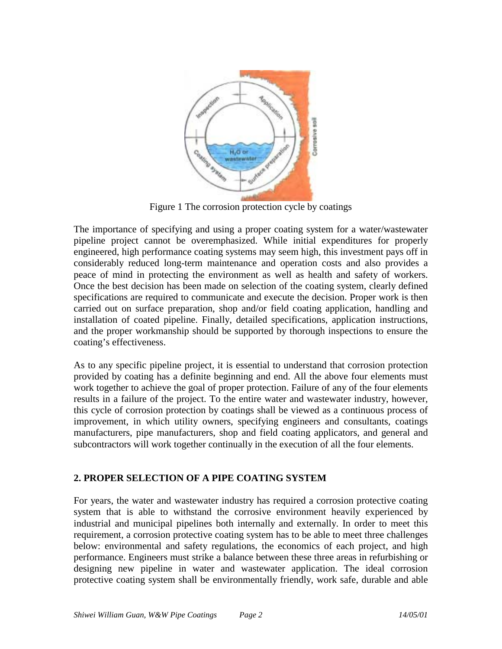

Figure 1 The corrosion protection cycle by coatings

The importance of specifying and using a proper coating system for a water/wastewater pipeline project cannot be overemphasized. While initial expenditures for properly engineered, high performance coating systems may seem high, this investment pays off in considerably reduced long-term maintenance and operation costs and also provides a peace of mind in protecting the environment as well as health and safety of workers. Once the best decision has been made on selection of the coating system, clearly defined specifications are required to communicate and execute the decision. Proper work is then carried out on surface preparation, shop and/or field coating application, handling and installation of coated pipeline. Finally, detailed specifications, application instructions, and the proper workmanship should be supported by thorough inspections to ensure the coating's effectiveness.

As to any specific pipeline project, it is essential to understand that corrosion protection provided by coating has a definite beginning and end. All the above four elements must work together to achieve the goal of proper protection. Failure of any of the four elements results in a failure of the project. To the entire water and wastewater industry, however, this cycle of corrosion protection by coatings shall be viewed as a continuous process of improvement, in which utility owners, specifying engineers and consultants, coatings manufacturers, pipe manufacturers, shop and field coating applicators, and general and subcontractors will work together continually in the execution of all the four elements.

# **2. PROPER SELECTION OF A PIPE COATING SYSTEM**

For years, the water and wastewater industry has required a corrosion protective coating system that is able to withstand the corrosive environment heavily experienced by industrial and municipal pipelines both internally and externally. In order to meet this requirement, a corrosion protective coating system has to be able to meet three challenges below: environmental and safety regulations, the economics of each project, and high performance. Engineers must strike a balance between these three areas in refurbishing or designing new pipeline in water and wastewater application. The ideal corrosion protective coating system shall be environmentally friendly, work safe, durable and able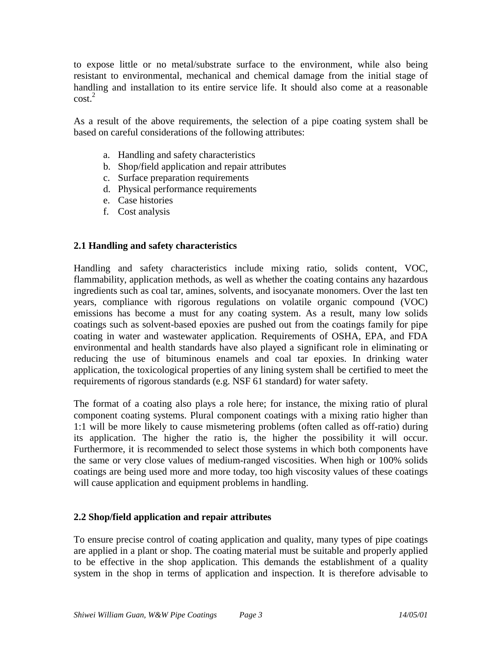to expose little or no metal/substrate surface to the environment, while also being resistant to environmental, mechanical and chemical damage from the initial stage of handling and installation to its entire service life. It should also come at a reasonable  $\cosh^2$ 

As a result of the above requirements, the selection of a pipe coating system shall be based on careful considerations of the following attributes:

- a. Handling and safety characteristics
- b. Shop/field application and repair attributes
- c. Surface preparation requirements
- d. Physical performance requirements
- e. Case histories
- f. Cost analysis

# **2.1 Handling and safety characteristics**

Handling and safety characteristics include mixing ratio, solids content, VOC, flammability, application methods, as well as whether the coating contains any hazardous ingredients such as coal tar, amines, solvents, and isocyanate monomers. Over the last ten years, compliance with rigorous regulations on volatile organic compound (VOC) emissions has become a must for any coating system. As a result, many low solids coatings such as solvent-based epoxies are pushed out from the coatings family for pipe coating in water and wastewater application. Requirements of OSHA, EPA, and FDA environmental and health standards have also played a significant role in eliminating or reducing the use of bituminous enamels and coal tar epoxies. In drinking water application, the toxicological properties of any lining system shall be certified to meet the requirements of rigorous standards (e.g. NSF 61 standard) for water safety.

The format of a coating also plays a role here; for instance, the mixing ratio of plural component coating systems. Plural component coatings with a mixing ratio higher than 1:1 will be more likely to cause mismetering problems (often called as off-ratio) during its application. The higher the ratio is, the higher the possibility it will occur. Furthermore, it is recommended to select those systems in which both components have the same or very close values of medium-ranged viscosities. When high or 100% solids coatings are being used more and more today, too high viscosity values of these coatings will cause application and equipment problems in handling.

#### **2.2 Shop/field application and repair attributes**

To ensure precise control of coating application and quality, many types of pipe coatings are applied in a plant or shop. The coating material must be suitable and properly applied to be effective in the shop application. This demands the establishment of a quality system in the shop in terms of application and inspection. It is therefore advisable to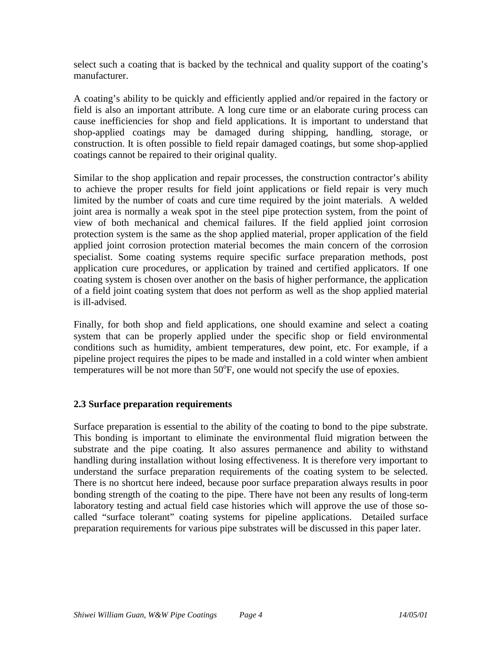select such a coating that is backed by the technical and quality support of the coating's manufacturer.

A coating's ability to be quickly and efficiently applied and/or repaired in the factory or field is also an important attribute. A long cure time or an elaborate curing process can cause inefficiencies for shop and field applications. It is important to understand that shop-applied coatings may be damaged during shipping, handling, storage, or construction. It is often possible to field repair damaged coatings, but some shop-applied coatings cannot be repaired to their original quality.

Similar to the shop application and repair processes, the construction contractor's ability to achieve the proper results for field joint applications or field repair is very much limited by the number of coats and cure time required by the joint materials. A welded joint area is normally a weak spot in the steel pipe protection system, from the point of view of both mechanical and chemical failures. If the field applied joint corrosion protection system is the same as the shop applied material, proper application of the field applied joint corrosion protection material becomes the main concern of the corrosion specialist. Some coating systems require specific surface preparation methods, post application cure procedures, or application by trained and certified applicators. If one coating system is chosen over another on the basis of higher performance, the application of a field joint coating system that does not perform as well as the shop applied material is ill-advised.

Finally, for both shop and field applications, one should examine and select a coating system that can be properly applied under the specific shop or field environmental conditions such as humidity, ambient temperatures, dew point, etc. For example, if a pipeline project requires the pipes to be made and installed in a cold winter when ambient temperatures will be not more than  $50^{\circ}$ F, one would not specify the use of epoxies.

# **2.3 Surface preparation requirements**

Surface preparation is essential to the ability of the coating to bond to the pipe substrate. This bonding is important to eliminate the environmental fluid migration between the substrate and the pipe coating. It also assures permanence and ability to withstand handling during installation without losing effectiveness. It is therefore very important to understand the surface preparation requirements of the coating system to be selected. There is no shortcut here indeed, because poor surface preparation always results in poor bonding strength of the coating to the pipe. There have not been any results of long-term laboratory testing and actual field case histories which will approve the use of those socalled "surface tolerant" coating systems for pipeline applications. Detailed surface preparation requirements for various pipe substrates will be discussed in this paper later.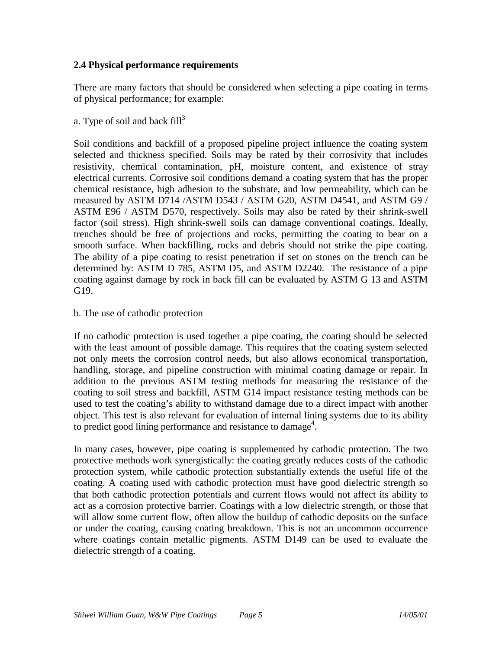# **2.4 Physical performance requirements**

There are many factors that should be considered when selecting a pipe coating in terms of physical performance; for example:

a. Type of soil and back  $fill<sup>3</sup>$ 

Soil conditions and backfill of a proposed pipeline project influence the coating system selected and thickness specified. Soils may be rated by their corrosivity that includes resistivity, chemical contamination, pH, moisture content, and existence of stray electrical currents. Corrosive soil conditions demand a coating system that has the proper chemical resistance, high adhesion to the substrate, and low permeability, which can be measured by ASTM D714 /ASTM D543 / ASTM G20, ASTM D4541, and ASTM G9 / ASTM E96 / ASTM D570, respectively. Soils may also be rated by their shrink-swell factor (soil stress). High shrink-swell soils can damage conventional coatings. Ideally, trenches should be free of projections and rocks, permitting the coating to bear on a smooth surface. When backfilling, rocks and debris should not strike the pipe coating. The ability of a pipe coating to resist penetration if set on stones on the trench can be determined by: ASTM D 785, ASTM D5, and ASTM D2240. The resistance of a pipe coating against damage by rock in back fill can be evaluated by ASTM G 13 and ASTM G19.

b. The use of cathodic protection

If no cathodic protection is used together a pipe coating, the coating should be selected with the least amount of possible damage. This requires that the coating system selected not only meets the corrosion control needs, but also allows economical transportation, handling, storage, and pipeline construction with minimal coating damage or repair. In addition to the previous ASTM testing methods for measuring the resistance of the coating to soil stress and backfill, ASTM G14 impact resistance testing methods can be used to test the coating's ability to withstand damage due to a direct impact with another object. This test is also relevant for evaluation of internal lining systems due to its ability to predict good lining performance and resistance to damage<sup>4</sup>.

In many cases, however, pipe coating is supplemented by cathodic protection. The two protective methods work synergistically: the coating greatly reduces costs of the cathodic protection system, while cathodic protection substantially extends the useful life of the coating. A coating used with cathodic protection must have good dielectric strength so that both cathodic protection potentials and current flows would not affect its ability to act as a corrosion protective barrier. Coatings with a low dielectric strength, or those that will allow some current flow, often allow the buildup of cathodic deposits on the surface or under the coating, causing coating breakdown. This is not an uncommon occurrence where coatings contain metallic pigments. ASTM D149 can be used to evaluate the dielectric strength of a coating.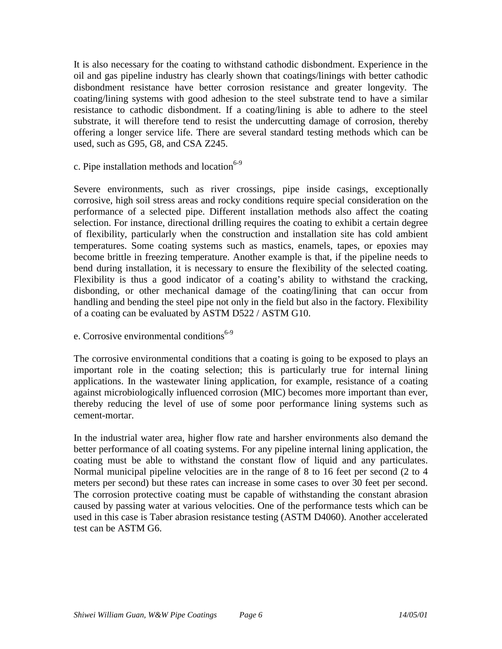It is also necessary for the coating to withstand cathodic disbondment. Experience in the oil and gas pipeline industry has clearly shown that coatings/linings with better cathodic disbondment resistance have better corrosion resistance and greater longevity. The coating/lining systems with good adhesion to the steel substrate tend to have a similar resistance to cathodic disbondment. If a coating/lining is able to adhere to the steel substrate, it will therefore tend to resist the undercutting damage of corrosion, thereby offering a longer service life. There are several standard testing methods which can be used, such as G95, G8, and CSA Z245.

c. Pipe installation methods and location $6-9$ 

Severe environments, such as river crossings, pipe inside casings, exceptionally corrosive, high soil stress areas and rocky conditions require special consideration on the performance of a selected pipe. Different installation methods also affect the coating selection. For instance, directional drilling requires the coating to exhibit a certain degree of flexibility, particularly when the construction and installation site has cold ambient temperatures. Some coating systems such as mastics, enamels, tapes, or epoxies may become brittle in freezing temperature. Another example is that, if the pipeline needs to bend during installation, it is necessary to ensure the flexibility of the selected coating. Flexibility is thus a good indicator of a coating's ability to withstand the cracking, disbonding, or other mechanical damage of the coating/lining that can occur from handling and bending the steel pipe not only in the field but also in the factory. Flexibility of a coating can be evaluated by ASTM D522 / ASTM G10.

e. Corrosive environmental conditions<sup>6-9</sup>

The corrosive environmental conditions that a coating is going to be exposed to plays an important role in the coating selection; this is particularly true for internal lining applications. In the wastewater lining application, for example, resistance of a coating against microbiologically influenced corrosion (MIC) becomes more important than ever, thereby reducing the level of use of some poor performance lining systems such as cement-mortar.

In the industrial water area, higher flow rate and harsher environments also demand the better performance of all coating systems. For any pipeline internal lining application, the coating must be able to withstand the constant flow of liquid and any particulates. Normal municipal pipeline velocities are in the range of 8 to 16 feet per second (2 to 4 meters per second) but these rates can increase in some cases to over 30 feet per second. The corrosion protective coating must be capable of withstanding the constant abrasion caused by passing water at various velocities. One of the performance tests which can be used in this case is Taber abrasion resistance testing (ASTM D4060). Another accelerated test can be ASTM G6.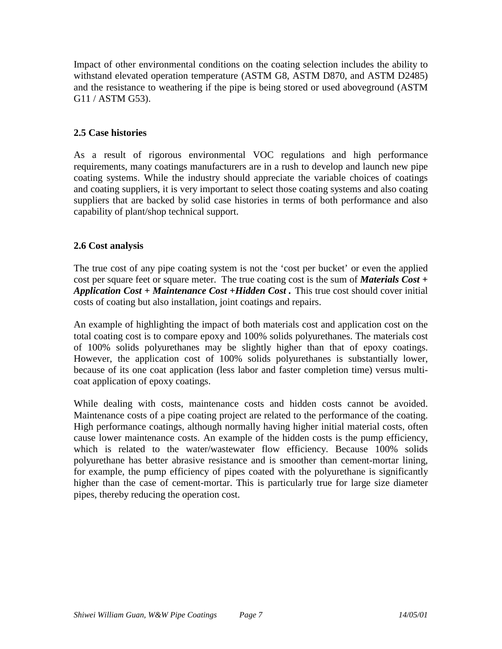Impact of other environmental conditions on the coating selection includes the ability to withstand elevated operation temperature (ASTM G8, ASTM D870, and ASTM D2485) and the resistance to weathering if the pipe is being stored or used aboveground (ASTM G11 / ASTM G53).

# **2.5 Case histories**

As a result of rigorous environmental VOC regulations and high performance requirements, many coatings manufacturers are in a rush to develop and launch new pipe coating systems. While the industry should appreciate the variable choices of coatings and coating suppliers, it is very important to select those coating systems and also coating suppliers that are backed by solid case histories in terms of both performance and also capability of plant/shop technical support.

# **2.6 Cost analysis**

The true cost of any pipe coating system is not the 'cost per bucket' or even the applied cost per square feet or square meter. The true coating cost is the sum of *Materials Cost + Application Cost + Maintenance Cost +Hidden Cost .* This true cost should cover initial costs of coating but also installation, joint coatings and repairs.

An example of highlighting the impact of both materials cost and application cost on the total coating cost is to compare epoxy and 100% solids polyurethanes. The materials cost of 100% solids polyurethanes may be slightly higher than that of epoxy coatings. However, the application cost of 100% solids polyurethanes is substantially lower, because of its one coat application (less labor and faster completion time) versus multicoat application of epoxy coatings.

While dealing with costs, maintenance costs and hidden costs cannot be avoided. Maintenance costs of a pipe coating project are related to the performance of the coating. High performance coatings, although normally having higher initial material costs, often cause lower maintenance costs. An example of the hidden costs is the pump efficiency, which is related to the water/wastewater flow efficiency. Because 100% solids polyurethane has better abrasive resistance and is smoother than cement-mortar lining, for example, the pump efficiency of pipes coated with the polyurethane is significantly higher than the case of cement-mortar. This is particularly true for large size diameter pipes, thereby reducing the operation cost.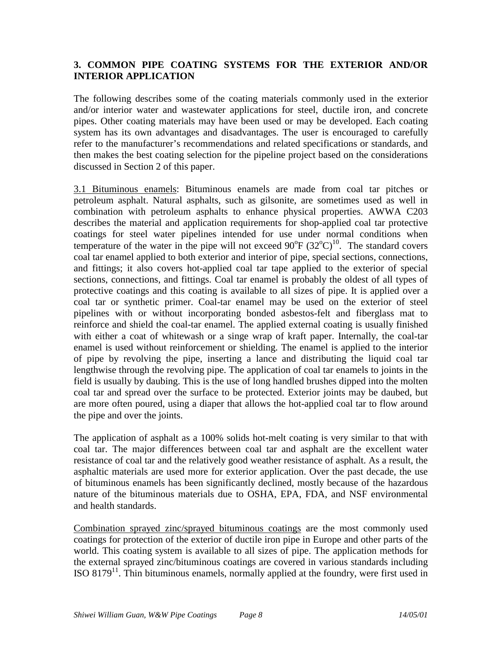# **3. COMMON PIPE COATING SYSTEMS FOR THE EXTERIOR AND/OR INTERIOR APPLICATION**

The following describes some of the coating materials commonly used in the exterior and/or interior water and wastewater applications for steel, ductile iron, and concrete pipes. Other coating materials may have been used or may be developed. Each coating system has its own advantages and disadvantages. The user is encouraged to carefully refer to the manufacturer's recommendations and related specifications or standards, and then makes the best coating selection for the pipeline project based on the considerations discussed in Section 2 of this paper.

3.1 Bituminous enamels: Bituminous enamels are made from coal tar pitches or petroleum asphalt. Natural asphalts, such as gilsonite, are sometimes used as well in combination with petroleum asphalts to enhance physical properties. AWWA C203 describes the material and application requirements for shop-applied coal tar protective coatings for steel water pipelines intended for use under normal conditions when temperature of the water in the pipe will not exceed  $90^{\circ}F (32^{\circ}C)^{10}$ . The standard covers coal tar enamel applied to both exterior and interior of pipe, special sections, connections, and fittings; it also covers hot-applied coal tar tape applied to the exterior of special sections, connections, and fittings. Coal tar enamel is probably the oldest of all types of protective coatings and this coating is available to all sizes of pipe. It is applied over a coal tar or synthetic primer. Coal-tar enamel may be used on the exterior of steel pipelines with or without incorporating bonded asbestos-felt and fiberglass mat to reinforce and shield the coal-tar enamel. The applied external coating is usually finished with either a coat of whitewash or a singe wrap of kraft paper. Internally, the coal-tar enamel is used without reinforcement or shielding. The enamel is applied to the interior of pipe by revolving the pipe, inserting a lance and distributing the liquid coal tar lengthwise through the revolving pipe. The application of coal tar enamels to joints in the field is usually by daubing. This is the use of long handled brushes dipped into the molten coal tar and spread over the surface to be protected. Exterior joints may be daubed, but are more often poured, using a diaper that allows the hot-applied coal tar to flow around the pipe and over the joints.

The application of asphalt as a 100% solids hot-melt coating is very similar to that with coal tar. The major differences between coal tar and asphalt are the excellent water resistance of coal tar and the relatively good weather resistance of asphalt. As a result, the asphaltic materials are used more for exterior application. Over the past decade, the use of bituminous enamels has been significantly declined, mostly because of the hazardous nature of the bituminous materials due to OSHA, EPA, FDA, and NSF environmental and health standards.

Combination sprayed zinc/sprayed bituminous coatings are the most commonly used coatings for protection of the exterior of ductile iron pipe in Europe and other parts of the world. This coating system is available to all sizes of pipe. The application methods for the external sprayed zinc/bituminous coatings are covered in various standards including ISO  $8179<sup>11</sup>$ . Thin bituminous enamels, normally applied at the foundry, were first used in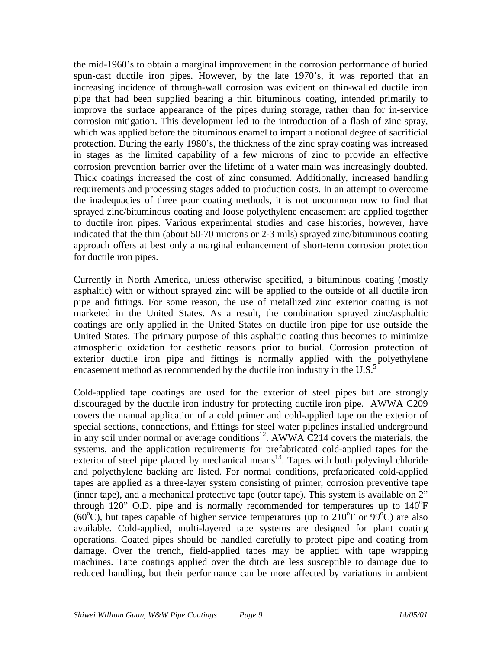the mid-1960's to obtain a marginal improvement in the corrosion performance of buried spun-cast ductile iron pipes. However, by the late 1970's, it was reported that an increasing incidence of through-wall corrosion was evident on thin-walled ductile iron pipe that had been supplied bearing a thin bituminous coating, intended primarily to improve the surface appearance of the pipes during storage, rather than for in-service corrosion mitigation. This development led to the introduction of a flash of zinc spray, which was applied before the bituminous enamel to impart a notional degree of sacrificial protection. During the early 1980's, the thickness of the zinc spray coating was increased in stages as the limited capability of a few microns of zinc to provide an effective corrosion prevention barrier over the lifetime of a water main was increasingly doubted. Thick coatings increased the cost of zinc consumed. Additionally, increased handling requirements and processing stages added to production costs. In an attempt to overcome the inadequacies of three poor coating methods, it is not uncommon now to find that sprayed zinc/bituminous coating and loose polyethylene encasement are applied together to ductile iron pipes. Various experimental studies and case histories, however, have indicated that the thin (about 50-70 microns or 2-3 mils) sprayed zinc/bituminous coating approach offers at best only a marginal enhancement of short-term corrosion protection for ductile iron pipes.

Currently in North America, unless otherwise specified, a bituminous coating (mostly asphaltic) with or without sprayed zinc will be applied to the outside of all ductile iron pipe and fittings. For some reason, the use of metallized zinc exterior coating is not marketed in the United States. As a result, the combination sprayed zinc/asphaltic coatings are only applied in the United States on ductile iron pipe for use outside the United States. The primary purpose of this asphaltic coating thus becomes to minimize atmospheric oxidation for aesthetic reasons prior to burial. Corrosion protection of exterior ductile iron pipe and fittings is normally applied with the polyethylene encasement method as recommended by the ductile iron industry in the U.S.<sup>5</sup>

Cold-applied tape coatings are used for the exterior of steel pipes but are strongly discouraged by the ductile iron industry for protecting ductile iron pipe. AWWA C209 covers the manual application of a cold primer and cold-applied tape on the exterior of special sections, connections, and fittings for steel water pipelines installed underground in any soil under normal or average conditions<sup>12</sup>. AWWA C214 covers the materials, the systems, and the application requirements for prefabricated cold-applied tapes for the exterior of steel pipe placed by mechanical means $13$ . Tapes with both polyvinyl chloride and polyethylene backing are listed. For normal conditions, prefabricated cold-applied tapes are applied as a three-layer system consisting of primer, corrosion preventive tape (inner tape), and a mechanical protective tape (outer tape). This system is available on 2" through  $120$ " O.D. pipe and is normally recommended for temperatures up to  $140^{\circ}$ F (60 $\degree$ C), but tapes capable of higher service temperatures (up to 210 $\degree$ F or 99 $\degree$ C) are also available. Cold-applied, multi-layered tape systems are designed for plant coating operations. Coated pipes should be handled carefully to protect pipe and coating from damage. Over the trench, field-applied tapes may be applied with tape wrapping machines. Tape coatings applied over the ditch are less susceptible to damage due to reduced handling, but their performance can be more affected by variations in ambient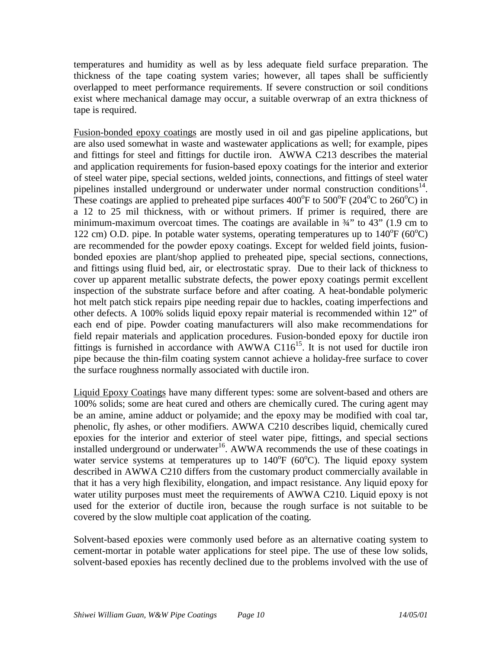temperatures and humidity as well as by less adequate field surface preparation. The thickness of the tape coating system varies; however, all tapes shall be sufficiently overlapped to meet performance requirements. If severe construction or soil conditions exist where mechanical damage may occur, a suitable overwrap of an extra thickness of tape is required.

Fusion-bonded epoxy coatings are mostly used in oil and gas pipeline applications, but are also used somewhat in waste and wastewater applications as well; for example, pipes and fittings for steel and fittings for ductile iron. AWWA C213 describes the material and application requirements for fusion-based epoxy coatings for the interior and exterior of steel water pipe, special sections, welded joints, connections, and fittings of steel water pipelines installed underground or underwater under normal construction conditions<sup>14</sup>. These coatings are applied to preheated pipe surfaces  $400^{\circ}$ F to  $500^{\circ}$ F (204 $^{\circ}$ C to 260 $^{\circ}$ C) in a 12 to 25 mil thickness, with or without primers. If primer is required, there are minimum-maximum overcoat times. The coatings are available in  $\frac{3}{4}$  to 43" (1.9 cm to 122 cm) O.D. pipe. In potable water systems, operating temperatures up to  $140^{\circ}F (60^{\circ}C)$ are recommended for the powder epoxy coatings. Except for welded field joints, fusionbonded epoxies are plant/shop applied to preheated pipe, special sections, connections, and fittings using fluid bed, air, or electrostatic spray. Due to their lack of thickness to cover up apparent metallic substrate defects, the power epoxy coatings permit excellent inspection of the substrate surface before and after coating. A heat-bondable polymeric hot melt patch stick repairs pipe needing repair due to hackles, coating imperfections and other defects. A 100% solids liquid epoxy repair material is recommended within 12" of each end of pipe. Powder coating manufacturers will also make recommendations for field repair materials and application procedures. Fusion-bonded epoxy for ductile iron fittings is furnished in accordance with AWWA C116<sup>15</sup>. It is not used for ductile iron pipe because the thin-film coating system cannot achieve a holiday-free surface to cover the surface roughness normally associated with ductile iron.

Liquid Epoxy Coatings have many different types: some are solvent-based and others are 100% solids; some are heat cured and others are chemically cured. The curing agent may be an amine, amine adduct or polyamide; and the epoxy may be modified with coal tar, phenolic, fly ashes, or other modifiers. AWWA C210 describes liquid, chemically cured epoxies for the interior and exterior of steel water pipe, fittings, and special sections installed underground or underwater<sup>16</sup>. AWWA recommends the use of these coatings in water service systems at temperatures up to  $140^{\circ}F$  (60 $^{\circ}C$ ). The liquid epoxy system described in AWWA C210 differs from the customary product commercially available in that it has a very high flexibility, elongation, and impact resistance. Any liquid epoxy for water utility purposes must meet the requirements of AWWA C210. Liquid epoxy is not used for the exterior of ductile iron, because the rough surface is not suitable to be covered by the slow multiple coat application of the coating.

Solvent-based epoxies were commonly used before as an alternative coating system to cement-mortar in potable water applications for steel pipe. The use of these low solids, solvent-based epoxies has recently declined due to the problems involved with the use of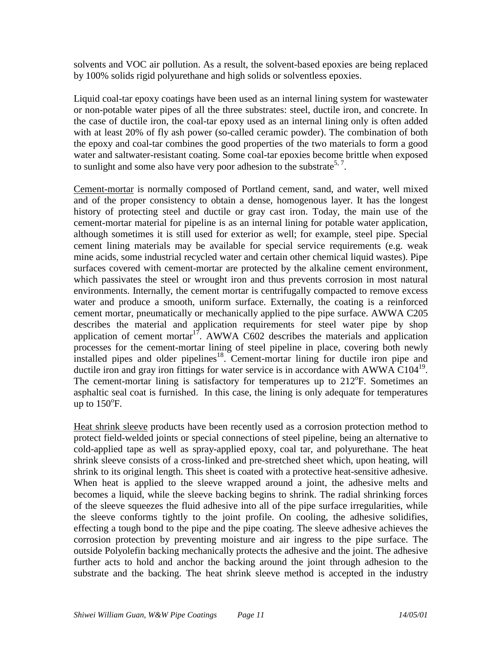solvents and VOC air pollution. As a result, the solvent-based epoxies are being replaced by 100% solids rigid polyurethane and high solids or solventless epoxies.

Liquid coal-tar epoxy coatings have been used as an internal lining system for wastewater or non-potable water pipes of all the three substrates: steel, ductile iron, and concrete. In the case of ductile iron, the coal-tar epoxy used as an internal lining only is often added with at least 20% of fly ash power (so-called ceramic powder). The combination of both the epoxy and coal-tar combines the good properties of the two materials to form a good water and saltwater-resistant coating. Some coal-tar epoxies become brittle when exposed to sunlight and some also have very poor adhesion to the substrate<sup>5, 7</sup>.

Cement-mortar is normally composed of Portland cement, sand, and water, well mixed and of the proper consistency to obtain a dense, homogenous layer. It has the longest history of protecting steel and ductile or gray cast iron. Today, the main use of the cement-mortar material for pipeline is as an internal lining for potable water application, although sometimes it is still used for exterior as well; for example, steel pipe. Special cement lining materials may be available for special service requirements (e.g. weak mine acids, some industrial recycled water and certain other chemical liquid wastes). Pipe surfaces covered with cement-mortar are protected by the alkaline cement environment, which passivates the steel or wrought iron and thus prevents corrosion in most natural environments. Internally, the cement mortar is centrifugally compacted to remove excess water and produce a smooth, uniform surface. Externally, the coating is a reinforced cement mortar, pneumatically or mechanically applied to the pipe surface. AWWA C205 describes the material and application requirements for steel water pipe by shop application of cement mortar<sup>17</sup>. AWWA C602 describes the materials and application processes for the cement-mortar lining of steel pipeline in place, covering both newly installed pipes and older pipelines<sup>18</sup>. Cement-mortar lining for ductile iron pipe and ductile iron and gray iron fittings for water service is in accordance with AWWA C104<sup>19</sup>. The cement-mortar lining is satisfactory for temperatures up to 212°F. Sometimes an asphaltic seal coat is furnished. In this case, the lining is only adequate for temperatures up to  $150^{\circ}$ F.

Heat shrink sleeve products have been recently used as a corrosion protection method to protect field-welded joints or special connections of steel pipeline, being an alternative to cold-applied tape as well as spray-applied epoxy, coal tar, and polyurethane. The heat shrink sleeve consists of a cross-linked and pre-stretched sheet which, upon heating, will shrink to its original length. This sheet is coated with a protective heat-sensitive adhesive. When heat is applied to the sleeve wrapped around a joint, the adhesive melts and becomes a liquid, while the sleeve backing begins to shrink. The radial shrinking forces of the sleeve squeezes the fluid adhesive into all of the pipe surface irregularities, while the sleeve conforms tightly to the joint profile. On cooling, the adhesive solidifies, effecting a tough bond to the pipe and the pipe coating. The sleeve adhesive achieves the corrosion protection by preventing moisture and air ingress to the pipe surface. The outside Polyolefin backing mechanically protects the adhesive and the joint. The adhesive further acts to hold and anchor the backing around the joint through adhesion to the substrate and the backing. The heat shrink sleeve method is accepted in the industry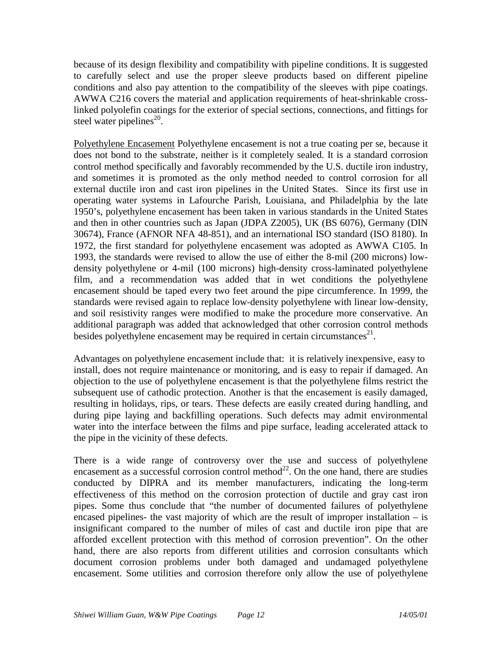because of its design flexibility and compatibility with pipeline conditions. It is suggested to carefully select and use the proper sleeve products based on different pipeline conditions and also pay attention to the compatibility of the sleeves with pipe coatings. AWWA C216 covers the material and application requirements of heat-shrinkable crosslinked polyolefin coatings for the exterior of special sections, connections, and fittings for steel water pipelines $^{20}$ .

Polyethylene Encasement Polyethylene encasement is not a true coating per se, because it does not bond to the substrate, neither is it completely sealed. It is a standard corrosion control method specifically and favorably recommended by the U.S. ductile iron industry, and sometimes it is promoted as the only method needed to control corrosion for all external ductile iron and cast iron pipelines in the United States. Since its first use in operating water systems in Lafourche Parish, Louisiana, and Philadelphia by the late 1950's, polyethylene encasement has been taken in various standards in the United States and then in other countries such as Japan (JDPA Z2005), UK (BS 6076), Germany (DIN 30674), France (AFNOR NFA 48-851), and an international ISO standard (ISO 8180). In 1972, the first standard for polyethylene encasement was adopted as AWWA C105. In 1993, the standards were revised to allow the use of either the 8-mil (200 microns) lowdensity polyethylene or 4-mil (100 microns) high-density cross-laminated polyethylene film, and a recommendation was added that in wet conditions the polyethylene encasement should be taped every two feet around the pipe circumference. In 1999, the standards were revised again to replace low-density polyethylene with linear low-density, and soil resistivity ranges were modified to make the procedure more conservative. An additional paragraph was added that acknowledged that other corrosion control methods besides polyethylene encasement may be required in certain circumstances<sup>21</sup>.

Advantages on polyethylene encasement include that: it is relatively inexpensive, easy to install, does not require maintenance or monitoring, and is easy to repair if damaged. An objection to the use of polyethylene encasement is that the polyethylene films restrict the subsequent use of cathodic protection. Another is that the encasement is easily damaged, resulting in holidays, rips, or tears. These defects are easily created during handling, and during pipe laying and backfilling operations. Such defects may admit environmental water into the interface between the films and pipe surface, leading accelerated attack to the pipe in the vicinity of these defects.

There is a wide range of controversy over the use and success of polyethylene encasement as a successful corrosion control method<sup>22</sup>. On the one hand, there are studies conducted by DIPRA and its member manufacturers, indicating the long-term effectiveness of this method on the corrosion protection of ductile and gray cast iron pipes. Some thus conclude that "the number of documented failures of polyethylene encased pipelines- the vast majority of which are the result of improper installation – is insignificant compared to the number of miles of cast and ductile iron pipe that are afforded excellent protection with this method of corrosion prevention". On the other hand, there are also reports from different utilities and corrosion consultants which document corrosion problems under both damaged and undamaged polyethylene encasement. Some utilities and corrosion therefore only allow the use of polyethylene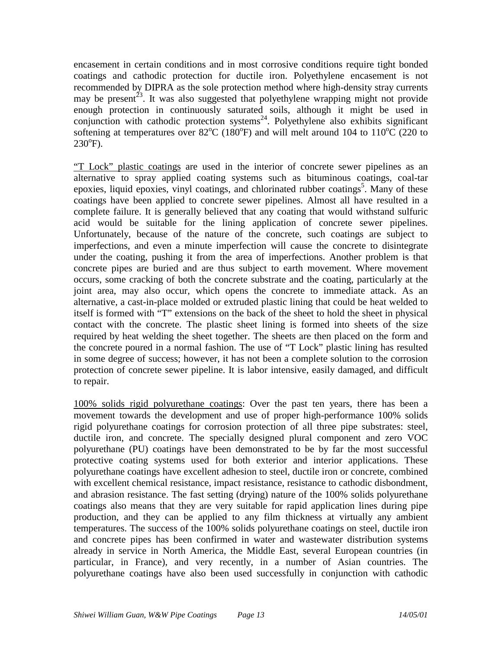encasement in certain conditions and in most corrosive conditions require tight bonded coatings and cathodic protection for ductile iron. Polyethylene encasement is not recommended by DIPRA as the sole protection method where high-density stray currents may be present<sup>23</sup>. It was also suggested that polyethylene wrapping might not provide enough protection in continuously saturated soils, although it might be used in conjunction with cathodic protection systems $24$ . Polyethylene also exhibits significant softening at temperatures over 82<sup>o</sup>C (180<sup>o</sup>F) and will melt around 104 to 110<sup>o</sup>C (220 to  $230^{\circ}$ F).

"T Lock" plastic coatings are used in the interior of concrete sewer pipelines as an alternative to spray applied coating systems such as bituminous coatings, coal-tar epoxies, liquid epoxies, vinyl coatings, and chlorinated rubber coatings<sup>5</sup>. Many of these coatings have been applied to concrete sewer pipelines. Almost all have resulted in a complete failure. It is generally believed that any coating that would withstand sulfuric acid would be suitable for the lining application of concrete sewer pipelines. Unfortunately, because of the nature of the concrete, such coatings are subject to imperfections, and even a minute imperfection will cause the concrete to disintegrate under the coating, pushing it from the area of imperfections. Another problem is that concrete pipes are buried and are thus subject to earth movement. Where movement occurs, some cracking of both the concrete substrate and the coating, particularly at the joint area, may also occur, which opens the concrete to immediate attack. As an alternative, a cast-in-place molded or extruded plastic lining that could be heat welded to itself is formed with "T" extensions on the back of the sheet to hold the sheet in physical contact with the concrete. The plastic sheet lining is formed into sheets of the size required by heat welding the sheet together. The sheets are then placed on the form and the concrete poured in a normal fashion. The use of "T Lock" plastic lining has resulted in some degree of success; however, it has not been a complete solution to the corrosion protection of concrete sewer pipeline. It is labor intensive, easily damaged, and difficult to repair.

100% solids rigid polyurethane coatings: Over the past ten years, there has been a movement towards the development and use of proper high-performance 100% solids rigid polyurethane coatings for corrosion protection of all three pipe substrates: steel, ductile iron, and concrete. The specially designed plural component and zero VOC polyurethane (PU) coatings have been demonstrated to be by far the most successful protective coating systems used for both exterior and interior applications. These polyurethane coatings have excellent adhesion to steel, ductile iron or concrete, combined with excellent chemical resistance, impact resistance, resistance to cathodic disbondment, and abrasion resistance. The fast setting (drying) nature of the 100% solids polyurethane coatings also means that they are very suitable for rapid application lines during pipe production, and they can be applied to any film thickness at virtually any ambient temperatures. The success of the 100% solids polyurethane coatings on steel, ductile iron and concrete pipes has been confirmed in water and wastewater distribution systems already in service in North America, the Middle East, several European countries (in particular, in France), and very recently, in a number of Asian countries. The polyurethane coatings have also been used successfully in conjunction with cathodic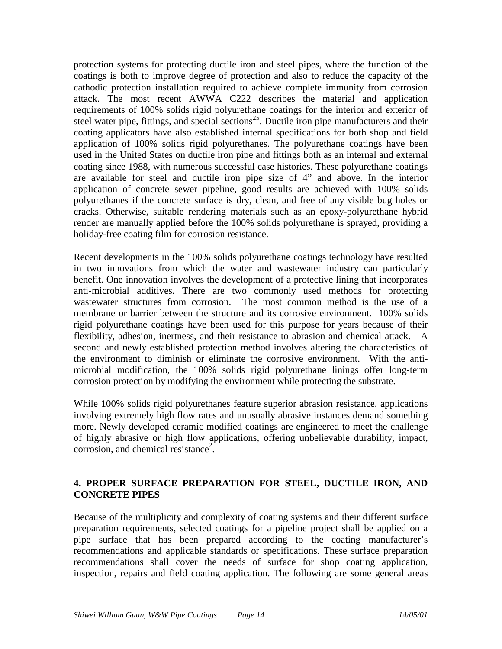protection systems for protecting ductile iron and steel pipes, where the function of the coatings is both to improve degree of protection and also to reduce the capacity of the cathodic protection installation required to achieve complete immunity from corrosion attack. The most recent AWWA C222 describes the material and application requirements of 100% solids rigid polyurethane coatings for the interior and exterior of steel water pipe, fittings, and special sections<sup>25</sup>. Ductile iron pipe manufacturers and their coating applicators have also established internal specifications for both shop and field application of 100% solids rigid polyurethanes. The polyurethane coatings have been used in the United States on ductile iron pipe and fittings both as an internal and external coating since 1988, with numerous successful case histories. These polyurethane coatings are available for steel and ductile iron pipe size of 4" and above. In the interior application of concrete sewer pipeline, good results are achieved with 100% solids polyurethanes if the concrete surface is dry, clean, and free of any visible bug holes or cracks. Otherwise, suitable rendering materials such as an epoxy-polyurethane hybrid render are manually applied before the 100% solids polyurethane is sprayed, providing a holiday-free coating film for corrosion resistance.

Recent developments in the 100% solids polyurethane coatings technology have resulted in two innovations from which the water and wastewater industry can particularly benefit. One innovation involves the development of a protective lining that incorporates anti-microbial additives. There are two commonly used methods for protecting wastewater structures from corrosion. The most common method is the use of a membrane or barrier between the structure and its corrosive environment. 100% solids rigid polyurethane coatings have been used for this purpose for years because of their flexibility, adhesion, inertness, and their resistance to abrasion and chemical attack. A second and newly established protection method involves altering the characteristics of the environment to diminish or eliminate the corrosive environment. With the antimicrobial modification, the 100% solids rigid polyurethane linings offer long-term corrosion protection by modifying the environment while protecting the substrate.

While 100% solids rigid polyurethanes feature superior abrasion resistance, applications involving extremely high flow rates and unusually abrasive instances demand something more. Newly developed ceramic modified coatings are engineered to meet the challenge of highly abrasive or high flow applications, offering unbelievable durability, impact, corrosion, and chemical resistance<sup>2</sup>.

# **4. PROPER SURFACE PREPARATION FOR STEEL, DUCTILE IRON, AND CONCRETE PIPES**

Because of the multiplicity and complexity of coating systems and their different surface preparation requirements, selected coatings for a pipeline project shall be applied on a pipe surface that has been prepared according to the coating manufacturer's recommendations and applicable standards or specifications. These surface preparation recommendations shall cover the needs of surface for shop coating application, inspection, repairs and field coating application. The following are some general areas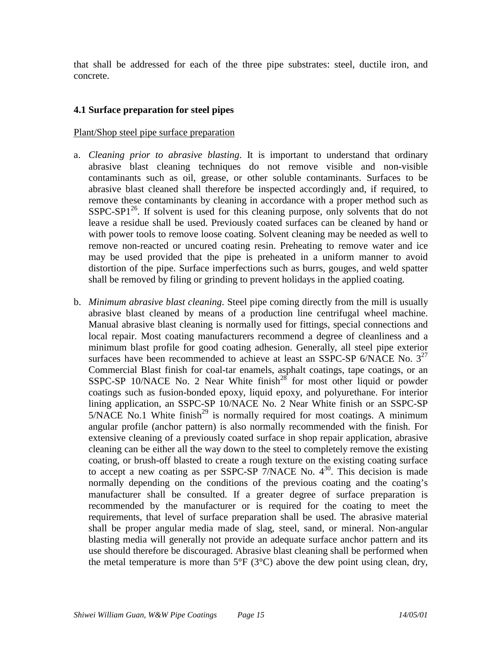that shall be addressed for each of the three pipe substrates: steel, ductile iron, and concrete.

# **4.1 Surface preparation for steel pipes**

#### Plant/Shop steel pipe surface preparation

- a. *Cleaning prior to abrasive blasting*. It is important to understand that ordinary abrasive blast cleaning techniques do not remove visible and non-visible contaminants such as oil, grease, or other soluble contaminants. Surfaces to be abrasive blast cleaned shall therefore be inspected accordingly and, if required, to remove these contaminants by cleaning in accordance with a proper method such as  $SSPC-SP1<sup>26</sup>$ . If solvent is used for this cleaning purpose, only solvents that do not leave a residue shall be used. Previously coated surfaces can be cleaned by hand or with power tools to remove loose coating. Solvent cleaning may be needed as well to remove non-reacted or uncured coating resin. Preheating to remove water and ice may be used provided that the pipe is preheated in a uniform manner to avoid distortion of the pipe. Surface imperfections such as burrs, gouges, and weld spatter shall be removed by filing or grinding to prevent holidays in the applied coating.
- b. *Minimum abrasive blast cleaning*. Steel pipe coming directly from the mill is usually abrasive blast cleaned by means of a production line centrifugal wheel machine. Manual abrasive blast cleaning is normally used for fittings, special connections and local repair. Most coating manufacturers recommend a degree of cleanliness and a minimum blast profile for good coating adhesion. Generally, all steel pipe exterior surfaces have been recommended to achieve at least an SSPC-SP 6/NACE No.  $3^{27}$ Commercial Blast finish for coal-tar enamels, asphalt coatings, tape coatings, or an SSPC-SP 10/NACE No. 2 Near White  $f_{\text{in}}^{28}$  for most other liquid or powder coatings such as fusion-bonded epoxy, liquid epoxy, and polyurethane. For interior lining application, an SSPC-SP 10/NACE No. 2 Near White finish or an SSPC-SP  $5/NACE$  No.1 White finish<sup>29</sup> is normally required for most coatings. A minimum angular profile (anchor pattern) is also normally recommended with the finish. For extensive cleaning of a previously coated surface in shop repair application, abrasive cleaning can be either all the way down to the steel to completely remove the existing coating, or brush-off blasted to create a rough texture on the existing coating surface to accept a new coating as per SSPC-SP  $\frac{7}{NACE}$  No.  $4^{30}$ . This decision is made normally depending on the conditions of the previous coating and the coating's manufacturer shall be consulted. If a greater degree of surface preparation is recommended by the manufacturer or is required for the coating to meet the requirements, that level of surface preparation shall be used. The abrasive material shall be proper angular media made of slag, steel, sand, or mineral. Non-angular blasting media will generally not provide an adequate surface anchor pattern and its use should therefore be discouraged. Abrasive blast cleaning shall be performed when the metal temperature is more than  $5^{\circ}F$  (3 $^{\circ}C$ ) above the dew point using clean, dry,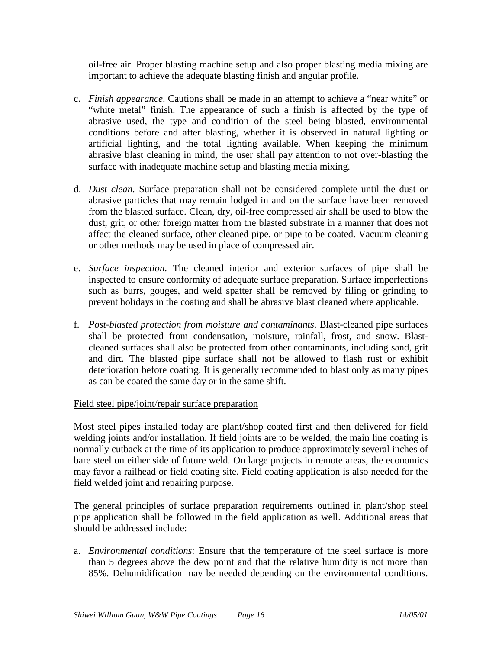oil-free air. Proper blasting machine setup and also proper blasting media mixing are important to achieve the adequate blasting finish and angular profile.

- c. *Finish appearance*. Cautions shall be made in an attempt to achieve a "near white" or "white metal" finish. The appearance of such a finish is affected by the type of abrasive used, the type and condition of the steel being blasted, environmental conditions before and after blasting, whether it is observed in natural lighting or artificial lighting, and the total lighting available. When keeping the minimum abrasive blast cleaning in mind, the user shall pay attention to not over-blasting the surface with inadequate machine setup and blasting media mixing.
- d. *Dust clean*. Surface preparation shall not be considered complete until the dust or abrasive particles that may remain lodged in and on the surface have been removed from the blasted surface. Clean, dry, oil-free compressed air shall be used to blow the dust, grit, or other foreign matter from the blasted substrate in a manner that does not affect the cleaned surface, other cleaned pipe, or pipe to be coated. Vacuum cleaning or other methods may be used in place of compressed air.
- e. *Surface inspection*. The cleaned interior and exterior surfaces of pipe shall be inspected to ensure conformity of adequate surface preparation. Surface imperfections such as burrs, gouges, and weld spatter shall be removed by filing or grinding to prevent holidays in the coating and shall be abrasive blast cleaned where applicable.
- f. *Post-blasted protection from moisture and contaminants*. Blast-cleaned pipe surfaces shall be protected from condensation, moisture, rainfall, frost, and snow. Blastcleaned surfaces shall also be protected from other contaminants, including sand, grit and dirt. The blasted pipe surface shall not be allowed to flash rust or exhibit deterioration before coating. It is generally recommended to blast only as many pipes as can be coated the same day or in the same shift.

#### Field steel pipe/joint/repair surface preparation

Most steel pipes installed today are plant/shop coated first and then delivered for field welding joints and/or installation. If field joints are to be welded, the main line coating is normally cutback at the time of its application to produce approximately several inches of bare steel on either side of future weld. On large projects in remote areas, the economics may favor a railhead or field coating site. Field coating application is also needed for the field welded joint and repairing purpose.

The general principles of surface preparation requirements outlined in plant/shop steel pipe application shall be followed in the field application as well. Additional areas that should be addressed include:

a. *Environmental conditions*: Ensure that the temperature of the steel surface is more than 5 degrees above the dew point and that the relative humidity is not more than 85%. Dehumidification may be needed depending on the environmental conditions.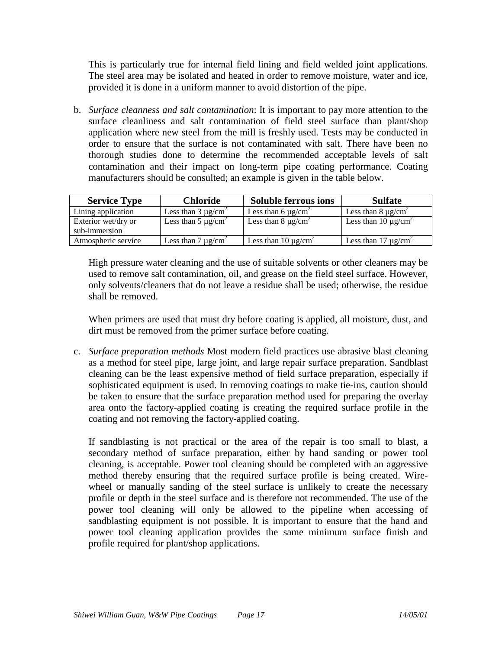This is particularly true for internal field lining and field welded joint applications. The steel area may be isolated and heated in order to remove moisture, water and ice, provided it is done in a uniform manner to avoid distortion of the pipe.

b. *Surface cleanness and salt contamination*: It is important to pay more attention to the surface cleanliness and salt contamination of field steel surface than plant/shop application where new steel from the mill is freshly used. Tests may be conducted in order to ensure that the surface is not contaminated with salt. There have been no thorough studies done to determine the recommended acceptable levels of salt contamination and their impact on long-term pipe coating performance. Coating manufacturers should be consulted; an example is given in the table below.

| <b>Service Type</b> | <b>Chloride</b>          | <b>Soluble ferrous ions</b>          | <b>Sulfate</b>                       |
|---------------------|--------------------------|--------------------------------------|--------------------------------------|
| Lining application  | Less than $3 \mu g/cm^2$ | Less than 6 $\mu$ g/cm <sup>2</sup>  | Less than $8 \mu g/cm^2$             |
| Exterior wet/dry or | Less than $5 \mu g/cm^2$ | Less than $8 \mu g/cm^2$             | Less than 10 $\mu$ g/cm <sup>2</sup> |
| sub-immersion       |                          |                                      |                                      |
| Atmospheric service | Less than $7 \mu g/cm^2$ | Less than 10 $\mu$ g/cm <sup>2</sup> | Less than 17 $\mu$ g/cm <sup>2</sup> |

High pressure water cleaning and the use of suitable solvents or other cleaners may be used to remove salt contamination, oil, and grease on the field steel surface. However, only solvents/cleaners that do not leave a residue shall be used; otherwise, the residue shall be removed.

When primers are used that must dry before coating is applied, all moisture, dust, and dirt must be removed from the primer surface before coating.

c. *Surface preparation methods* Most modern field practices use abrasive blast cleaning as a method for steel pipe, large joint, and large repair surface preparation. Sandblast cleaning can be the least expensive method of field surface preparation, especially if sophisticated equipment is used. In removing coatings to make tie-ins, caution should be taken to ensure that the surface preparation method used for preparing the overlay area onto the factory-applied coating is creating the required surface profile in the coating and not removing the factory-applied coating.

If sandblasting is not practical or the area of the repair is too small to blast, a secondary method of surface preparation, either by hand sanding or power tool cleaning, is acceptable. Power tool cleaning should be completed with an aggressive method thereby ensuring that the required surface profile is being created. Wirewheel or manually sanding of the steel surface is unlikely to create the necessary profile or depth in the steel surface and is therefore not recommended. The use of the power tool cleaning will only be allowed to the pipeline when accessing of sandblasting equipment is not possible. It is important to ensure that the hand and power tool cleaning application provides the same minimum surface finish and profile required for plant/shop applications.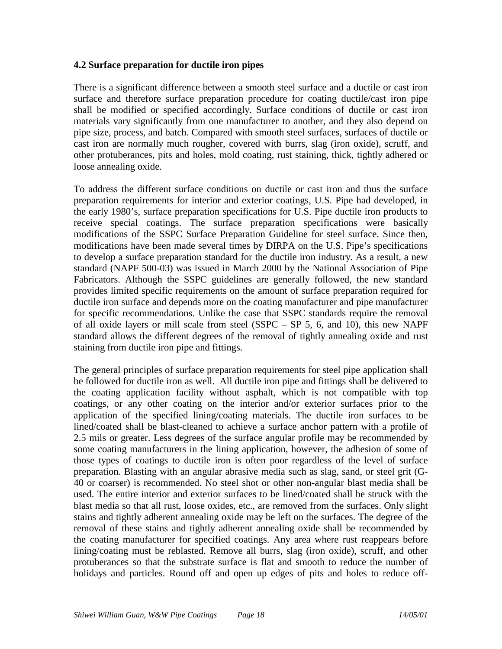#### **4.2 Surface preparation for ductile iron pipes**

There is a significant difference between a smooth steel surface and a ductile or cast iron surface and therefore surface preparation procedure for coating ductile/cast iron pipe shall be modified or specified accordingly. Surface conditions of ductile or cast iron materials vary significantly from one manufacturer to another, and they also depend on pipe size, process, and batch. Compared with smooth steel surfaces, surfaces of ductile or cast iron are normally much rougher, covered with burrs, slag (iron oxide), scruff, and other protuberances, pits and holes, mold coating, rust staining, thick, tightly adhered or loose annealing oxide.

To address the different surface conditions on ductile or cast iron and thus the surface preparation requirements for interior and exterior coatings, U.S. Pipe had developed, in the early 1980's, surface preparation specifications for U.S. Pipe ductile iron products to receive special coatings. The surface preparation specifications were basically modifications of the SSPC Surface Preparation Guideline for steel surface. Since then, modifications have been made several times by DIRPA on the U.S. Pipe's specifications to develop a surface preparation standard for the ductile iron industry. As a result, a new standard (NAPF 500-03) was issued in March 2000 by the National Association of Pipe Fabricators. Although the SSPC guidelines are generally followed, the new standard provides limited specific requirements on the amount of surface preparation required for ductile iron surface and depends more on the coating manufacturer and pipe manufacturer for specific recommendations. Unlike the case that SSPC standards require the removal of all oxide layers or mill scale from steel (SSPC – SP 5, 6, and 10), this new NAPF standard allows the different degrees of the removal of tightly annealing oxide and rust staining from ductile iron pipe and fittings.

The general principles of surface preparation requirements for steel pipe application shall be followed for ductile iron as well. All ductile iron pipe and fittings shall be delivered to the coating application facility without asphalt, which is not compatible with top coatings, or any other coating on the interior and/or exterior surfaces prior to the application of the specified lining/coating materials. The ductile iron surfaces to be lined/coated shall be blast-cleaned to achieve a surface anchor pattern with a profile of 2.5 mils or greater. Less degrees of the surface angular profile may be recommended by some coating manufacturers in the lining application, however, the adhesion of some of those types of coatings to ductile iron is often poor regardless of the level of surface preparation. Blasting with an angular abrasive media such as slag, sand, or steel grit (G-40 or coarser) is recommended. No steel shot or other non-angular blast media shall be used. The entire interior and exterior surfaces to be lined/coated shall be struck with the blast media so that all rust, loose oxides, etc., are removed from the surfaces. Only slight stains and tightly adherent annealing oxide may be left on the surfaces. The degree of the removal of these stains and tightly adherent annealing oxide shall be recommended by the coating manufacturer for specified coatings. Any area where rust reappears before lining/coating must be reblasted. Remove all burrs, slag (iron oxide), scruff, and other protuberances so that the substrate surface is flat and smooth to reduce the number of holidays and particles. Round off and open up edges of pits and holes to reduce off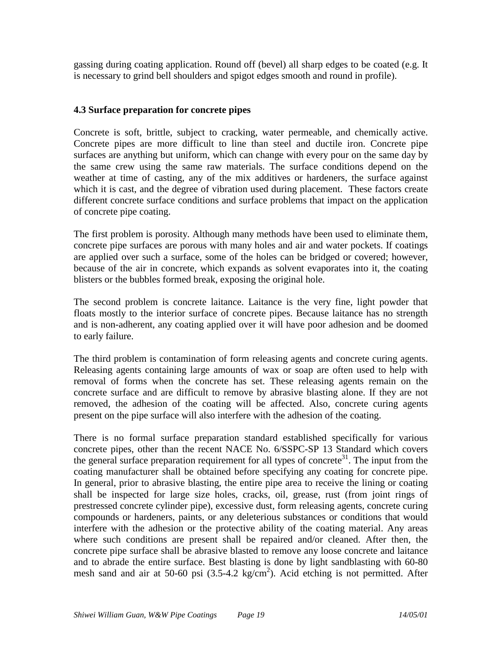gassing during coating application. Round off (bevel) all sharp edges to be coated (e.g. It is necessary to grind bell shoulders and spigot edges smooth and round in profile).

# **4.3 Surface preparation for concrete pipes**

Concrete is soft, brittle, subject to cracking, water permeable, and chemically active. Concrete pipes are more difficult to line than steel and ductile iron. Concrete pipe surfaces are anything but uniform, which can change with every pour on the same day by the same crew using the same raw materials. The surface conditions depend on the weather at time of casting, any of the mix additives or hardeners, the surface against which it is cast, and the degree of vibration used during placement. These factors create different concrete surface conditions and surface problems that impact on the application of concrete pipe coating.

The first problem is porosity. Although many methods have been used to eliminate them, concrete pipe surfaces are porous with many holes and air and water pockets. If coatings are applied over such a surface, some of the holes can be bridged or covered; however, because of the air in concrete, which expands as solvent evaporates into it, the coating blisters or the bubbles formed break, exposing the original hole.

The second problem is concrete laitance. Laitance is the very fine, light powder that floats mostly to the interior surface of concrete pipes. Because laitance has no strength and is non-adherent, any coating applied over it will have poor adhesion and be doomed to early failure.

The third problem is contamination of form releasing agents and concrete curing agents. Releasing agents containing large amounts of wax or soap are often used to help with removal of forms when the concrete has set. These releasing agents remain on the concrete surface and are difficult to remove by abrasive blasting alone. If they are not removed, the adhesion of the coating will be affected. Also, concrete curing agents present on the pipe surface will also interfere with the adhesion of the coating.

There is no formal surface preparation standard established specifically for various concrete pipes, other than the recent NACE No. 6/SSPC-SP 13 Standard which covers the general surface preparation requirement for all types of concrete<sup>31</sup>. The input from the coating manufacturer shall be obtained before specifying any coating for concrete pipe. In general, prior to abrasive blasting, the entire pipe area to receive the lining or coating shall be inspected for large size holes, cracks, oil, grease, rust (from joint rings of prestressed concrete cylinder pipe), excessive dust, form releasing agents, concrete curing compounds or hardeners, paints, or any deleterious substances or conditions that would interfere with the adhesion or the protective ability of the coating material. Any areas where such conditions are present shall be repaired and/or cleaned. After then, the concrete pipe surface shall be abrasive blasted to remove any loose concrete and laitance and to abrade the entire surface. Best blasting is done by light sandblasting with 60-80 mesh sand and air at 50-60 psi  $(3.5{\text -}4.2 \text{ kg/cm}^2)$ . Acid etching is not permitted. After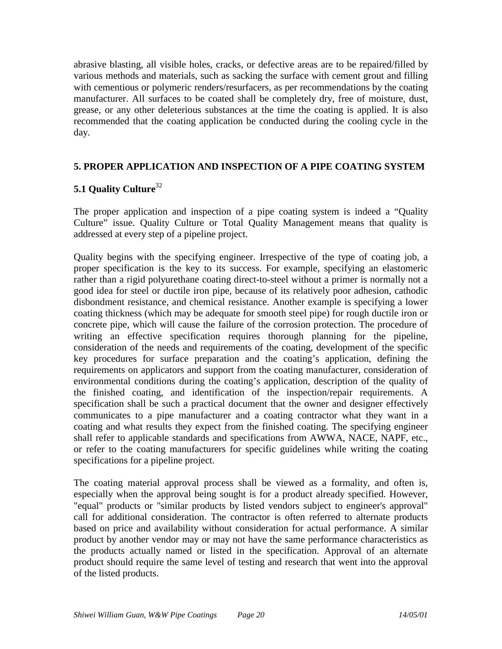abrasive blasting, all visible holes, cracks, or defective areas are to be repaired/filled by various methods and materials, such as sacking the surface with cement grout and filling with cementious or polymeric renders/resurfacers, as per recommendations by the coating manufacturer. All surfaces to be coated shall be completely dry, free of moisture, dust, grease, or any other deleterious substances at the time the coating is applied. It is also recommended that the coating application be conducted during the cooling cycle in the day.

# **5. PROPER APPLICATION AND INSPECTION OF A PIPE COATING SYSTEM**

# **5.1 Quality Culture**<sup>32</sup>

The proper application and inspection of a pipe coating system is indeed a "Quality Culture" issue. Quality Culture or Total Quality Management means that quality is addressed at every step of a pipeline project.

Quality begins with the specifying engineer. Irrespective of the type of coating job, a proper specification is the key to its success. For example, specifying an elastomeric rather than a rigid polyurethane coating direct-to-steel without a primer is normally not a good idea for steel or ductile iron pipe, because of its relatively poor adhesion, cathodic disbondment resistance, and chemical resistance. Another example is specifying a lower coating thickness (which may be adequate for smooth steel pipe) for rough ductile iron or concrete pipe, which will cause the failure of the corrosion protection. The procedure of writing an effective specification requires thorough planning for the pipeline, consideration of the needs and requirements of the coating, development of the specific key procedures for surface preparation and the coating's application, defining the requirements on applicators and support from the coating manufacturer, consideration of environmental conditions during the coating's application, description of the quality of the finished coating, and identification of the inspection/repair requirements. A specification shall be such a practical document that the owner and designer effectively communicates to a pipe manufacturer and a coating contractor what they want in a coating and what results they expect from the finished coating. The specifying engineer shall refer to applicable standards and specifications from AWWA, NACE, NAPF, etc., or refer to the coating manufacturers for specific guidelines while writing the coating specifications for a pipeline project.

The coating material approval process shall be viewed as a formality, and often is, especially when the approval being sought is for a product already specified. However, "equal" products or "similar products by listed vendors subject to engineer's approval" call for additional consideration. The contractor is often referred to alternate products based on price and availability without consideration for actual performance. A similar product by another vendor may or may not have the same performance characteristics as the products actually named or listed in the specification. Approval of an alternate product should require the same level of testing and research that went into the approval of the listed products.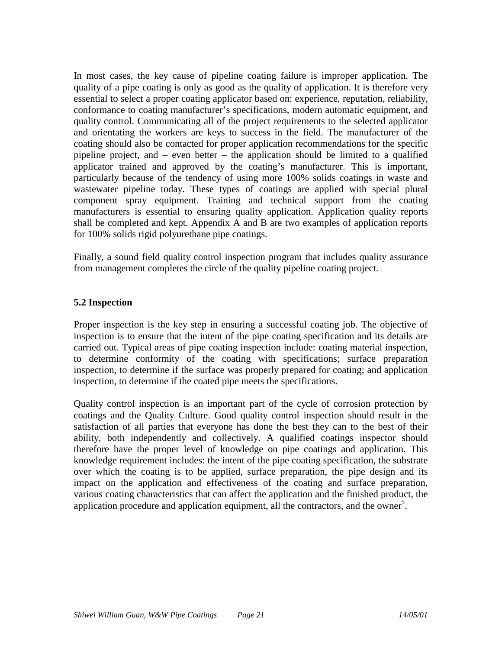In most cases, the key cause of pipeline coating failure is improper application. The quality of a pipe coating is only as good as the quality of application. It is therefore very essential to select a proper coating applicator based on: experience, reputation, reliability, conformance to coating manufacturer's specifications, modern automatic equipment, and quality control. Communicating all of the project requirements to the selected applicator and orientating the workers are keys to success in the field. The manufacturer of the coating should also be contacted for proper application recommendations for the specific pipeline project, and – even better – the application should be limited to a qualified applicator trained and approved by the coating's manufacturer. This is important, particularly because of the tendency of using more 100% solids coatings in waste and wastewater pipeline today. These types of coatings are applied with special plural component spray equipment. Training and technical support from the coating manufacturers is essential to ensuring quality application. Application quality reports shall be completed and kept. Appendix A and B are two examples of application reports for 100% solids rigid polyurethane pipe coatings.

Finally, a sound field quality control inspection program that includes quality assurance from management completes the circle of the quality pipeline coating project.

# **5.2 Inspection**

Proper inspection is the key step in ensuring a successful coating job. The objective of inspection is to ensure that the intent of the pipe coating specification and its details are carried out. Typical areas of pipe coating inspection include: coating material inspection, to determine conformity of the coating with specifications; surface preparation inspection, to determine if the surface was properly prepared for coating; and application inspection, to determine if the coated pipe meets the specifications.

Quality control inspection is an important part of the cycle of corrosion protection by coatings and the Quality Culture. Good quality control inspection should result in the satisfaction of all parties that everyone has done the best they can to the best of their ability, both independently and collectively. A qualified coatings inspector should therefore have the proper level of knowledge on pipe coatings and application. This knowledge requirement includes: the intent of the pipe coating specification, the substrate over which the coating is to be applied, surface preparation, the pipe design and its impact on the application and effectiveness of the coating and surface preparation, various coating characteristics that can affect the application and the finished product, the application procedure and application equipment, all the contractors, and the owner<sup>5</sup>.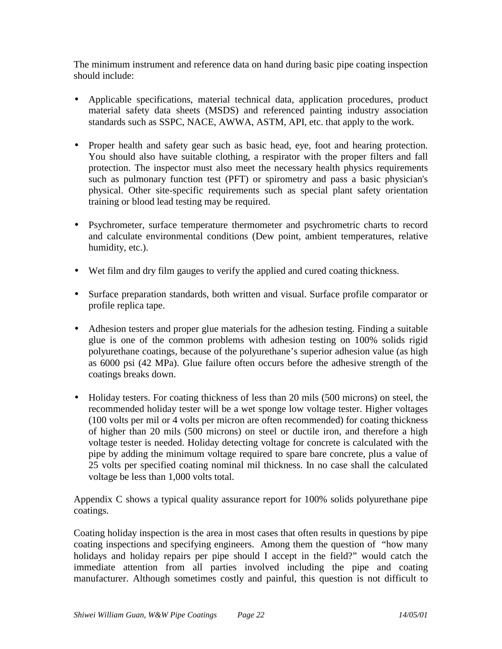The minimum instrument and reference data on hand during basic pipe coating inspection should include:

- Applicable specifications, material technical data, application procedures, product material safety data sheets (MSDS) and referenced painting industry association standards such as SSPC, NACE, AWWA, ASTM, API, etc. that apply to the work.
- Proper health and safety gear such as basic head, eye, foot and hearing protection. You should also have suitable clothing, a respirator with the proper filters and fall protection. The inspector must also meet the necessary health physics requirements such as pulmonary function test (PFT) or spirometry and pass a basic physician's physical. Other site-specific requirements such as special plant safety orientation training or blood lead testing may be required.
- Psychrometer, surface temperature thermometer and psychrometric charts to record and calculate environmental conditions (Dew point, ambient temperatures, relative humidity, etc.).
- Wet film and dry film gauges to verify the applied and cured coating thickness.
- Surface preparation standards, both written and visual. Surface profile comparator or profile replica tape.
- Adhesion testers and proper glue materials for the adhesion testing. Finding a suitable glue is one of the common problems with adhesion testing on 100% solids rigid polyurethane coatings, because of the polyurethane's superior adhesion value (as high as 6000 psi (42 MPa). Glue failure often occurs before the adhesive strength of the coatings breaks down.
- Holiday testers. For coating thickness of less than 20 mils (500 microns) on steel, the recommended holiday tester will be a wet sponge low voltage tester. Higher voltages (100 volts per mil or 4 volts per micron are often recommended) for coating thickness of higher than 20 mils (500 microns) on steel or ductile iron, and therefore a high voltage tester is needed. Holiday detecting voltage for concrete is calculated with the pipe by adding the minimum voltage required to spare bare concrete, plus a value of 25 volts per specified coating nominal mil thickness. In no case shall the calculated voltage be less than 1,000 volts total.

Appendix C shows a typical quality assurance report for 100% solids polyurethane pipe coatings.

Coating holiday inspection is the area in most cases that often results in questions by pipe coating inspections and specifying engineers. Among them the question of "how many holidays and holiday repairs per pipe should I accept in the field?" would catch the immediate attention from all parties involved including the pipe and coating manufacturer. Although sometimes costly and painful, this question is not difficult to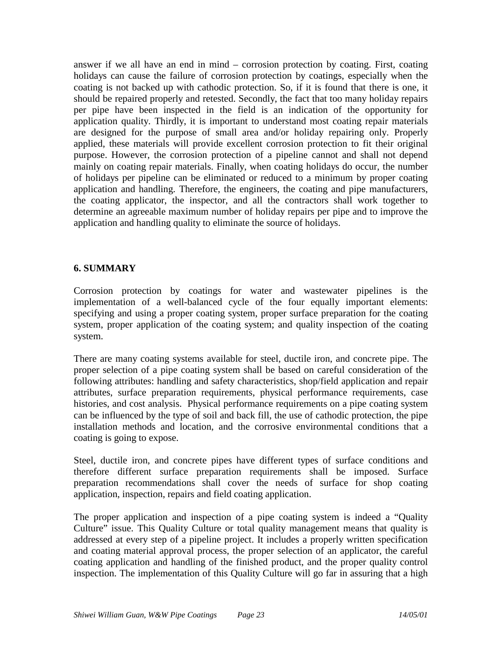answer if we all have an end in mind – corrosion protection by coating. First, coating holidays can cause the failure of corrosion protection by coatings, especially when the coating is not backed up with cathodic protection. So, if it is found that there is one, it should be repaired properly and retested. Secondly, the fact that too many holiday repairs per pipe have been inspected in the field is an indication of the opportunity for application quality. Thirdly, it is important to understand most coating repair materials are designed for the purpose of small area and/or holiday repairing only. Properly applied, these materials will provide excellent corrosion protection to fit their original purpose. However, the corrosion protection of a pipeline cannot and shall not depend mainly on coating repair materials. Finally, when coating holidays do occur, the number of holidays per pipeline can be eliminated or reduced to a minimum by proper coating application and handling. Therefore, the engineers, the coating and pipe manufacturers, the coating applicator, the inspector, and all the contractors shall work together to determine an agreeable maximum number of holiday repairs per pipe and to improve the application and handling quality to eliminate the source of holidays.

# **6. SUMMARY**

Corrosion protection by coatings for water and wastewater pipelines is the implementation of a well-balanced cycle of the four equally important elements: specifying and using a proper coating system, proper surface preparation for the coating system, proper application of the coating system; and quality inspection of the coating system.

There are many coating systems available for steel, ductile iron, and concrete pipe. The proper selection of a pipe coating system shall be based on careful consideration of the following attributes: handling and safety characteristics, shop/field application and repair attributes, surface preparation requirements, physical performance requirements, case histories, and cost analysis. Physical performance requirements on a pipe coating system can be influenced by the type of soil and back fill, the use of cathodic protection, the pipe installation methods and location, and the corrosive environmental conditions that a coating is going to expose.

Steel, ductile iron, and concrete pipes have different types of surface conditions and therefore different surface preparation requirements shall be imposed. Surface preparation recommendations shall cover the needs of surface for shop coating application, inspection, repairs and field coating application.

The proper application and inspection of a pipe coating system is indeed a "Quality Culture" issue. This Quality Culture or total quality management means that quality is addressed at every step of a pipeline project. It includes a properly written specification and coating material approval process, the proper selection of an applicator, the careful coating application and handling of the finished product, and the proper quality control inspection. The implementation of this Quality Culture will go far in assuring that a high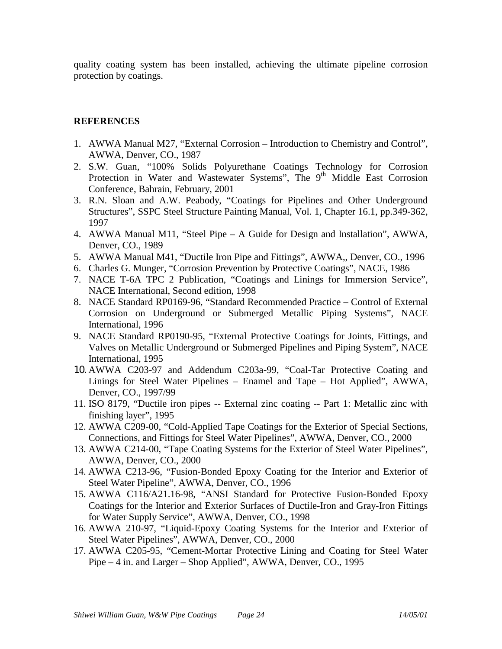quality coating system has been installed, achieving the ultimate pipeline corrosion protection by coatings.

# **REFERENCES**

- 1. AWWA Manual M27, "External Corrosion Introduction to Chemistry and Control", AWWA, Denver, CO., 1987
- 2. S.W. Guan, "100% Solids Polyurethane Coatings Technology for Corrosion Protection in Water and Wastewater Systems", The 9<sup>th</sup> Middle East Corrosion Conference, Bahrain, February, 2001
- 3. R.N. Sloan and A.W. Peabody, "Coatings for Pipelines and Other Underground Structures", SSPC Steel Structure Painting Manual, Vol. 1, Chapter 16.1, pp.349-362, 1997
- 4. AWWA Manual M11, "Steel Pipe A Guide for Design and Installation", AWWA, Denver, CO., 1989
- 5. AWWA Manual M41, "Ductile Iron Pipe and Fittings", AWWA,, Denver, CO., 1996
- 6. Charles G. Munger, "Corrosion Prevention by Protective Coatings", NACE, 1986
- 7. NACE T-6A TPC 2 Publication, "Coatings and Linings for Immersion Service", NACE International, Second edition, 1998
- 8. NACE Standard RP0169-96, "Standard Recommended Practice Control of External Corrosion on Underground or Submerged Metallic Piping Systems", NACE International, 1996
- 9. NACE Standard RP0190-95, "External Protective Coatings for Joints, Fittings, and Valves on Metallic Underground or Submerged Pipelines and Piping System", NACE International, 1995
- 10. AWWA C203-97 and Addendum C203a-99, "Coal-Tar Protective Coating and Linings for Steel Water Pipelines – Enamel and Tape – Hot Applied", AWWA, Denver, CO., 1997/99
- 11. ISO 8179, "Ductile iron pipes -- External zinc coating -- Part 1: Metallic zinc with finishing layer", 1995
- 12. AWWA C209-00, "Cold-Applied Tape Coatings for the Exterior of Special Sections, Connections, and Fittings for Steel Water Pipelines", AWWA, Denver, CO., 2000
- 13. AWWA C214-00, "Tape Coating Systems for the Exterior of Steel Water Pipelines", AWWA, Denver, CO., 2000
- 14. AWWA C213-96, "Fusion-Bonded Epoxy Coating for the Interior and Exterior of Steel Water Pipeline", AWWA, Denver, CO., 1996
- 15. AWWA C116/A21.16-98, "ANSI Standard for Protective Fusion-Bonded Epoxy Coatings for the Interior and Exterior Surfaces of Ductile-Iron and Gray-Iron Fittings for Water Supply Service", AWWA, Denver, CO., 1998
- 16. AWWA 210-97, "Liquid-Epoxy Coating Systems for the Interior and Exterior of Steel Water Pipelines", AWWA, Denver, CO., 2000
- 17. AWWA C205-95, "Cement-Mortar Protective Lining and Coating for Steel Water Pipe – 4 in. and Larger – Shop Applied", AWWA, Denver, CO., 1995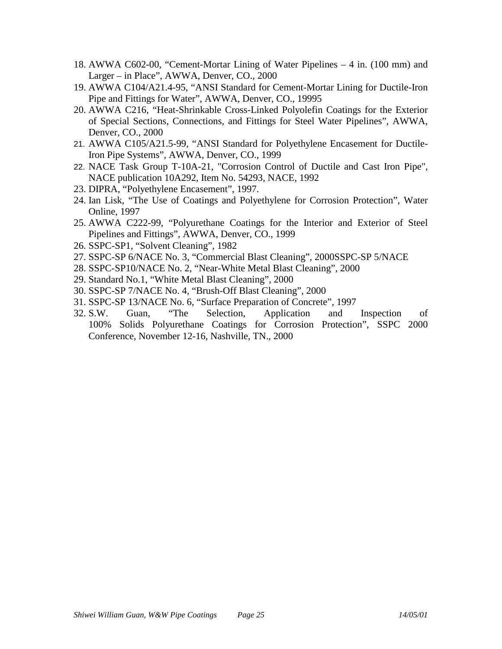- 18. AWWA C602-00, "Cement-Mortar Lining of Water Pipelines 4 in. (100 mm) and Larger – in Place", AWWA, Denver, CO., 2000
- 19. AWWA C104/A21.4-95, "ANSI Standard for Cement-Mortar Lining for Ductile-Iron Pipe and Fittings for Water", AWWA, Denver, CO., 19995
- 20. AWWA C216, "Heat-Shrinkable Cross-Linked Polyolefin Coatings for the Exterior of Special Sections, Connections, and Fittings for Steel Water Pipelines", AWWA, Denver, CO., 2000
- 21. AWWA C105/A21.5-99, "ANSI Standard for Polyethylene Encasement for Ductile-Iron Pipe Systems", AWWA, Denver, CO., 1999
- 22. NACE Task Group T-10A-21, "Corrosion Control of Ductile and Cast Iron Pipe", NACE publication 10A292, Item No. 54293, NACE, 1992
- 23. DIPRA, "Polyethylene Encasement", 1997.
- 24. Ian Lisk, "The Use of Coatings and Polyethylene for Corrosion Protection", Water Online, 1997
- 25. AWWA C222-99, "Polyurethane Coatings for the Interior and Exterior of Steel Pipelines and Fittings", AWWA, Denver, CO., 1999
- 26. SSPC-SP1, "Solvent Cleaning", 1982
- 27. SSPC-SP 6/NACE No. 3, "Commercial Blast Cleaning", 2000SSPC-SP 5/NACE
- 28. SSPC-SP10/NACE No. 2, "Near-White Metal Blast Cleaning", 2000
- 29. Standard No.1, "White Metal Blast Cleaning", 2000
- 30. SSPC-SP 7/NACE No. 4, "Brush-Off Blast Cleaning", 2000
- 31. SSPC-SP 13/NACE No. 6, "Surface Preparation of Concrete", 1997
- 32. S.W. Guan, "The Selection, Application and Inspection of 100% Solids Polyurethane Coatings for Corrosion Protection", SSPC 2000 Conference, November 12-16, Nashville, TN., 2000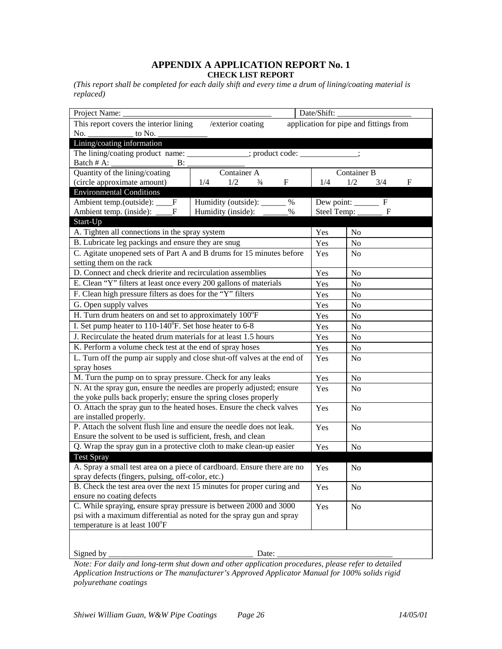#### **APPENDIX A APPLICATION REPORT No. 1 CHECK LIST REPORT**

*(This report shall be completed for each daily shift and every time a drum of lining/coating material is replaced)* 

| Date/Shift:<br>Project Name:                                                                          |                        |                 |                |                |  |  |  |  |  |  |  |  |
|-------------------------------------------------------------------------------------------------------|------------------------|-----------------|----------------|----------------|--|--|--|--|--|--|--|--|
| application for pipe and fittings from<br>This report covers the interior lining<br>/exterior coating |                        |                 |                |                |  |  |  |  |  |  |  |  |
| No.<br>to No.                                                                                         |                        |                 |                |                |  |  |  |  |  |  |  |  |
| Lining/coating information                                                                            |                        |                 |                |                |  |  |  |  |  |  |  |  |
| The lining/coating product name: _____________; product code: __________;                             |                        |                 |                |                |  |  |  |  |  |  |  |  |
| Batch # A:<br>B:                                                                                      |                        |                 |                |                |  |  |  |  |  |  |  |  |
| Quantity of the lining/coating                                                                        | Container B            |                 |                |                |  |  |  |  |  |  |  |  |
| (circle approximate amount)                                                                           | 1/4                    | 1/2<br>3/4<br>F |                |                |  |  |  |  |  |  |  |  |
| <b>Environmental Conditions</b>                                                                       |                        |                 |                |                |  |  |  |  |  |  |  |  |
| Ambient temp.(outside): _<br>$\mathbf{F}$                                                             | Dew point: ______<br>F |                 |                |                |  |  |  |  |  |  |  |  |
| Ambient temp. (inside): _<br>Humidity (inside):<br>Steel Temp: _<br>%<br>F<br>F                       |                        |                 |                |                |  |  |  |  |  |  |  |  |
| Start-Up                                                                                              |                        |                 |                |                |  |  |  |  |  |  |  |  |
| A. Tighten all connections in the spray system                                                        |                        | Yes             | N <sub>0</sub> |                |  |  |  |  |  |  |  |  |
| B. Lubricate leg packings and ensure they are snug                                                    |                        |                 | Yes            | No             |  |  |  |  |  |  |  |  |
| C. Agitate unopened sets of Part A and B drums for 15 minutes before                                  |                        |                 | Yes            | N <sub>0</sub> |  |  |  |  |  |  |  |  |
| setting them on the rack                                                                              |                        |                 |                |                |  |  |  |  |  |  |  |  |
| D. Connect and check drierite and recirculation assemblies                                            |                        | Yes             | No             |                |  |  |  |  |  |  |  |  |
| E. Clean "Y" filters at least once every 200 gallons of materials                                     |                        |                 | Yes            | No             |  |  |  |  |  |  |  |  |
| F. Clean high pressure filters as does for the "Y" filters                                            |                        | Yes             | N <sub>0</sub> |                |  |  |  |  |  |  |  |  |
| G. Open supply valves                                                                                 |                        | Yes             | No             |                |  |  |  |  |  |  |  |  |
| H. Turn drum heaters on and set to approximately $100^{\circ}F$                                       |                        | Yes             | No             |                |  |  |  |  |  |  |  |  |
| I. Set pump heater to 110-140°F. Set hose heater to 6-8                                               |                        | Yes             | N <sub>o</sub> |                |  |  |  |  |  |  |  |  |
| J. Recirculate the heated drum materials for at least 1.5 hours                                       |                        | Yes             | No             |                |  |  |  |  |  |  |  |  |
| K. Perform a volume check test at the end of spray hoses                                              |                        | Yes             | No             |                |  |  |  |  |  |  |  |  |
| L. Turn off the pump air supply and close shut-off valves at the end of                               |                        | Yes             | No             |                |  |  |  |  |  |  |  |  |
| spray hoses                                                                                           |                        |                 |                |                |  |  |  |  |  |  |  |  |
| M. Turn the pump on to spray pressure. Check for any leaks                                            |                        | Yes             | N <sub>0</sub> |                |  |  |  |  |  |  |  |  |
| N. At the spray gun, ensure the needles are properly adjusted; ensure                                 |                        | Yes             | N <sub>0</sub> |                |  |  |  |  |  |  |  |  |
| the yoke pulls back properly; ensure the spring closes properly                                       |                        |                 |                |                |  |  |  |  |  |  |  |  |
| O. Attach the spray gun to the heated hoses. Ensure the check valves                                  |                        |                 | Yes            | N <sub>0</sub> |  |  |  |  |  |  |  |  |
| are installed properly.                                                                               |                        |                 |                |                |  |  |  |  |  |  |  |  |
| P. Attach the solvent flush line and ensure the needle does not leak.                                 |                        |                 | Yes            | N <sub>0</sub> |  |  |  |  |  |  |  |  |
| Ensure the solvent to be used is sufficient, fresh, and clean                                         |                        |                 |                |                |  |  |  |  |  |  |  |  |
| Q. Wrap the spray gun in a protective cloth to make clean-up easier                                   |                        |                 | Yes            | No             |  |  |  |  |  |  |  |  |
| <b>Test Spray</b>                                                                                     |                        |                 |                |                |  |  |  |  |  |  |  |  |
| A. Spray a small test area on a piece of cardboard. Ensure there are no                               |                        | Yes             | No             |                |  |  |  |  |  |  |  |  |
| spray defects (fingers, pulsing, off-color, etc.)                                                     |                        |                 |                |                |  |  |  |  |  |  |  |  |
| B. Check the test area over the next 15 minutes for proper curing and                                 |                        | Yes             | No             |                |  |  |  |  |  |  |  |  |
| ensure no coating defects                                                                             |                        |                 |                |                |  |  |  |  |  |  |  |  |
| C. While spraying, ensure spray pressure is between 2000 and 3000                                     |                        | Yes             | No             |                |  |  |  |  |  |  |  |  |
| psi with a maximum differential as noted for the spray gun and spray                                  |                        |                 |                |                |  |  |  |  |  |  |  |  |
| temperature is at least 100°F                                                                         |                        |                 |                |                |  |  |  |  |  |  |  |  |
|                                                                                                       |                        |                 |                |                |  |  |  |  |  |  |  |  |

Signed by \_\_\_\_\_\_\_\_\_\_\_\_\_\_\_\_\_\_\_\_\_\_\_\_\_\_\_\_\_\_\_\_\_\_\_ Date: \_\_\_\_\_\_\_\_\_\_\_\_\_\_\_\_\_\_\_\_\_\_\_\_\_\_\_\_

*Note: For daily and long-term shut down and other application procedures, please refer to detailed Application Instructions or The manufacturer's Approved Applicator Manual for 100% solids rigid polyurethane coatings*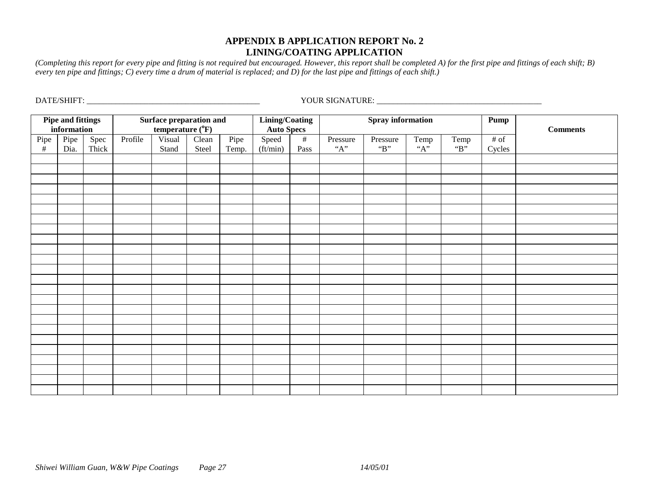# **APPENDIX B APPLICATION REPORT No. 2LINING/COATING APPLICATION**

*(Completing this report for every pipe and fitting is not required but encouraged. However, this report shall be completed A) for the first pipe and fittings of each shift; B) every ten pipe and fittings; C) every time a drum of material is replaced; and D) for the last pipe and fittings of each shift.)* 

| Lining/Coating           |             |                                |         |                  |       |       |                   |                          |          |          |                                      |         |                 |  |
|--------------------------|-------------|--------------------------------|---------|------------------|-------|-------|-------------------|--------------------------|----------|----------|--------------------------------------|---------|-----------------|--|
| <b>Pipe and fittings</b> |             | <b>Surface preparation and</b> |         |                  |       |       |                   | <b>Spray</b> information |          |          | Pump                                 |         |                 |  |
|                          | information |                                |         | temperature (°F) |       |       | <b>Auto Specs</b> |                          |          |          |                                      |         | <b>Comments</b> |  |
|                          | Pipe        | Spec                           | Profile | Visual           | Clean | Pipe  | Speed             | $#$                      | Pressure | Pressure | Temp                                 | Temp    | $#$ of          |  |
| $\rho$ Pipe              | Dia.        | Thick                          |         | Stand            | Steel | Temp. | (ft/min)          | Pass                     | $``A"$   | "B"      | $A$ <sup><math>\ddot{A}</math></sup> | " $B$ " | Cycles          |  |
|                          |             |                                |         |                  |       |       |                   |                          |          |          |                                      |         |                 |  |
|                          |             |                                |         |                  |       |       |                   |                          |          |          |                                      |         |                 |  |
|                          |             |                                |         |                  |       |       |                   |                          |          |          |                                      |         |                 |  |
|                          |             |                                |         |                  |       |       |                   |                          |          |          |                                      |         |                 |  |
|                          |             |                                |         |                  |       |       |                   |                          |          |          |                                      |         |                 |  |
|                          |             |                                |         |                  |       |       |                   |                          |          |          |                                      |         |                 |  |
|                          |             |                                |         |                  |       |       |                   |                          |          |          |                                      |         |                 |  |
|                          |             |                                |         |                  |       |       |                   |                          |          |          |                                      |         |                 |  |
|                          |             |                                |         |                  |       |       |                   |                          |          |          |                                      |         |                 |  |
|                          |             |                                |         |                  |       |       |                   |                          |          |          |                                      |         |                 |  |
|                          |             |                                |         |                  |       |       |                   |                          |          |          |                                      |         |                 |  |
|                          |             |                                |         |                  |       |       |                   |                          |          |          |                                      |         |                 |  |
|                          |             |                                |         |                  |       |       |                   |                          |          |          |                                      |         |                 |  |
|                          |             |                                |         |                  |       |       |                   |                          |          |          |                                      |         |                 |  |
|                          |             |                                |         |                  |       |       |                   |                          |          |          |                                      |         |                 |  |
|                          |             |                                |         |                  |       |       |                   |                          |          |          |                                      |         |                 |  |
|                          |             |                                |         |                  |       |       |                   |                          |          |          |                                      |         |                 |  |
|                          |             |                                |         |                  |       |       |                   |                          |          |          |                                      |         |                 |  |
|                          |             |                                |         |                  |       |       |                   |                          |          |          |                                      |         |                 |  |
|                          |             |                                |         |                  |       |       |                   |                          |          |          |                                      |         |                 |  |
|                          |             |                                |         |                  |       |       |                   |                          |          |          |                                      |         |                 |  |
|                          |             |                                |         |                  |       |       |                   |                          |          |          |                                      |         |                 |  |
|                          |             |                                |         |                  |       |       |                   |                          |          |          |                                      |         |                 |  |
|                          |             |                                |         |                  |       |       |                   |                          |          |          |                                      |         |                 |  |

DATE/SHIFT: \_\_\_\_\_\_\_\_\_\_\_\_\_\_\_\_\_\_\_\_\_\_\_\_\_\_\_\_\_\_\_\_\_\_\_\_\_\_\_\_\_\_ YOUR SIGNATURE: \_\_\_\_\_\_\_\_\_\_\_\_\_\_\_\_\_\_\_\_\_\_\_\_\_\_\_\_\_\_\_\_\_\_\_\_\_\_\_\_